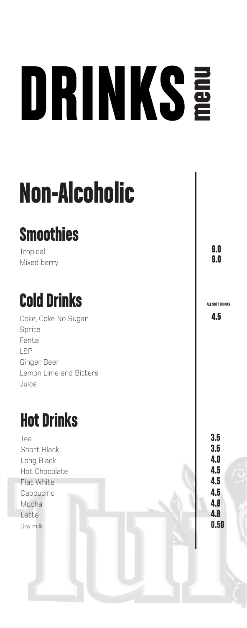# DRINKS menu

## Non-Alcoholic

### **Smoothies**

**Tropical** Mixed berry

### Cold Drinks

Coke, Coke No Sugar Sprite Fanta L&P Ginger Beer Lemon Lime and Bitters Juice

### Hot Drinks

Tea Short Black Long Black Hot Chocolate Flat White Cappucino Mocha Latte Soy milk

9.0 9.0

ALL SOFT DRINKS

4.5

3.5 3.5 4.0 4.5 4.5 4.5 4.8 0.50 4.8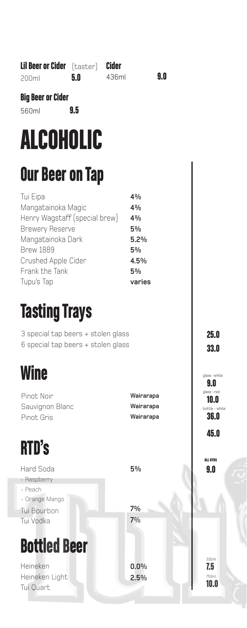| <b>Big Beer or Cider</b><br>9.5<br>560ml                                                                                                                                                  |                                                            |                                                    |
|-------------------------------------------------------------------------------------------------------------------------------------------------------------------------------------------|------------------------------------------------------------|----------------------------------------------------|
| <b>ALCOHOLIC</b>                                                                                                                                                                          |                                                            |                                                    |
| <b>Our Beer on Tap</b>                                                                                                                                                                    |                                                            |                                                    |
| Tui Eipa<br>Mangatainoka Magic<br>Henry Wagstaff (special brew)<br><b>Brewery Reserve</b><br>Mangatainoka Dark<br><b>Brew 1889</b><br>Crushed Apple Cider<br>Frank the Tank<br>Tupu's Tap | 4%<br>4%<br>4%<br>5%<br>5.2%<br>5%<br>4.5%<br>5%<br>varies |                                                    |
| <b>Tasting Trays</b>                                                                                                                                                                      |                                                            |                                                    |
| 3 special tap beers + stolen glass<br>6 special tap beers + stolen glass                                                                                                                  | 25.0<br><b>33.0</b>                                        |                                                    |
| <b>Wine</b>                                                                                                                                                                               |                                                            | glass -white<br>9.0                                |
| Pinot Noir<br>Sauvignon Blanc<br>Pinot Gris                                                                                                                                               | Wairarapa<br>Wairarapa<br>Wairarapa                        | glass-red<br>10.U<br>bottle - white<br><b>36.0</b> |
| <b>RTD's</b>                                                                                                                                                                              |                                                            | 45.0                                               |
| <b>Hard Soda</b><br>- Raspberry<br>- Peach<br>- Orange Mango<br>Tui Bourbon<br>Tui Vodka                                                                                                  | 5%<br>7%<br>7%                                             | <b>ALL RTDS</b><br>9.0                             |
| <b>Bottled Beer</b>                                                                                                                                                                       |                                                            |                                                    |
| Heineken<br>Heineken Light<br>Tui Quart                                                                                                                                                   | 0.0%<br>2.5%                                               | 330ml<br>7.5<br>750ml<br>10.0                      |

436ml 9.0

Lil Beer or Cider (taster) Cider

200ml 5.0